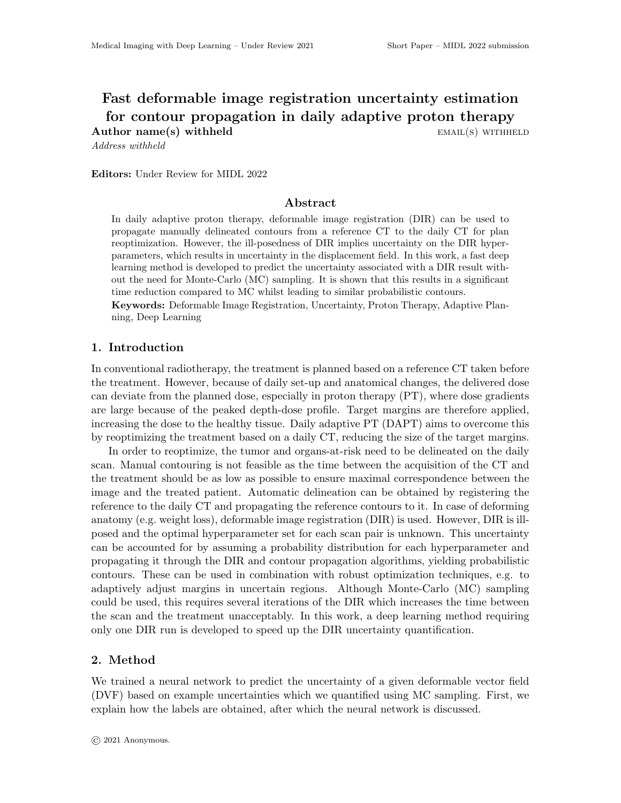# Fast deformable image registration uncertainty estimation for contour propagation in daily adaptive proton therapy Author name(s) withheld EMAIL(s) WITHHELD

Address withheld

Editors: Under Review for MIDL 2022

## Abstract

In daily adaptive proton therapy, deformable image registration (DIR) can be used to propagate manually delineated contours from a reference CT to the daily CT for plan reoptimization. However, the ill-posedness of DIR implies uncertainty on the DIR hyperparameters, which results in uncertainty in the displacement field. In this work, a fast deep learning method is developed to predict the uncertainty associated with a DIR result without the need for Monte-Carlo (MC) sampling. It is shown that this results in a significant time reduction compared to MC whilst leading to similar probabilistic contours.

Keywords: Deformable Image Registration, Uncertainty, Proton Therapy, Adaptive Planning, Deep Learning

#### 1. Introduction

In conventional radiotherapy, the treatment is planned based on a reference CT taken before the treatment. However, because of daily set-up and anatomical changes, the delivered dose can deviate from the planned dose, especially in proton therapy (PT), where dose gradients are large because of the peaked depth-dose profile. Target margins are therefore applied, increasing the dose to the healthy tissue. Daily adaptive PT (DAPT) aims to overcome this by reoptimizing the treatment based on a daily CT, reducing the size of the target margins.

In order to reoptimize, the tumor and organs-at-risk need to be delineated on the daily scan. Manual contouring is not feasible as the time between the acquisition of the CT and the treatment should be as low as possible to ensure maximal correspondence between the image and the treated patient. Automatic delineation can be obtained by registering the reference to the daily CT and propagating the reference contours to it. In case of deforming anatomy (e.g. weight loss), deformable image registration (DIR) is used. However, DIR is illposed and the optimal hyperparameter set for each scan pair is unknown. This uncertainty can be accounted for by assuming a probability distribution for each hyperparameter and propagating it through the DIR and contour propagation algorithms, yielding probabilistic contours. These can be used in combination with robust optimization techniques, e.g. to adaptively adjust margins in uncertain regions. Although Monte-Carlo (MC) sampling could be used, this requires several iterations of the DIR which increases the time between the scan and the treatment unacceptably. In this work, a deep learning method requiring only one DIR run is developed to speed up the DIR uncertainty quantification.

### 2. Method

We trained a neural network to predict the uncertainty of a given deformable vector field (DVF) based on example uncertainties which we quantified using MC sampling. First, we explain how the labels are obtained, after which the neural network is discussed.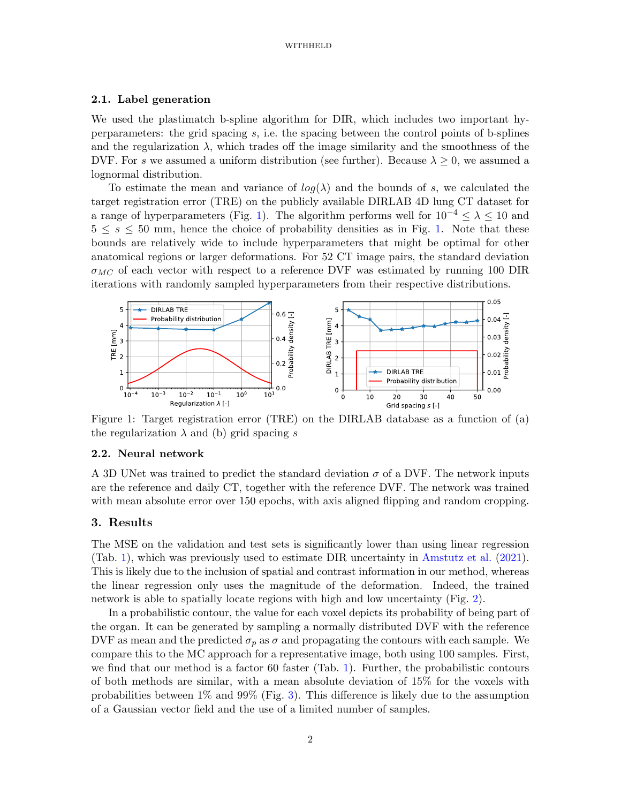#### 2.1. Label generation

We used the plastimatch b-spline algorithm for DIR, which includes two important hyperparameters: the grid spacing s, i.e. the spacing between the control points of b-splines and the regularization  $\lambda$ , which trades off the image similarity and the smoothness of the DVF. For s we assumed a uniform distribution (see further). Because  $\lambda \geq 0$ , we assumed a lognormal distribution.

To estimate the mean and variance of  $log(\lambda)$  and the bounds of s, we calculated the target registration error (TRE) on the publicly available DIRLAB 4D lung CT dataset for a range of hyperparameters (Fig. 1). The algorithm performs well for  $10^{-4} \leq \lambda \leq 10$  and  $5 \leq s \leq 50$  mm, hence the choice of probability densities as in Fig. 1. Note that these bounds are relatively wide to include hyperparameters that might be optimal for other anatomical regions or larger deformations. For 52 CT image pairs, the standard deviation  $\sigma_{MC}$  of each vector with respect to a reference DVF was estimated by running 100 DIR iterations with randomly sampled hyperparameters from their respective distributions.



Figure 1: Target registration error (TRE) on the DIRLAB database as a function of (a) the regularization  $\lambda$  and (b) grid spacing s

#### 2.2. Neural network

A 3D UNet was trained to predict the standard deviation  $\sigma$  of a DVF. The network inputs are the reference and daily CT, together with the reference DVF. The network was trained with mean absolute error over 150 epochs, with axis aligned flipping and random cropping.

#### 3. Results

The MSE on the validation and test sets is significantly lower than using linear regression (Tab. 1), which was previously used to estimate DIR uncertainty in Amstutz et al. (2021). This is likely due to the inclusion of spatial and contrast information in our method, whereas the linear regression only uses the magnitude of the deformation. Indeed, the trained network is able to spatially locate regions with high and low uncertainty (Fig. 2).

In a probabilistic contour, the value for each voxel depicts its probability of being part of the organ. It can be generated by sampling a normally distributed DVF with the reference DVF as mean and the predicted  $\sigma_p$  as  $\sigma$  and propagating the contours with each sample. We compare this to the MC approach for a representative image, both using 100 samples. First, we find that our method is a factor 60 faster (Tab. 1). Further, the probabilistic contours of both methods are similar, with a mean absolute deviation of 15% for the voxels with probabilities between 1% and 99% (Fig. 3). This difference is likely due to the assumption of a Gaussian vector field and the use of a limited number of samples.